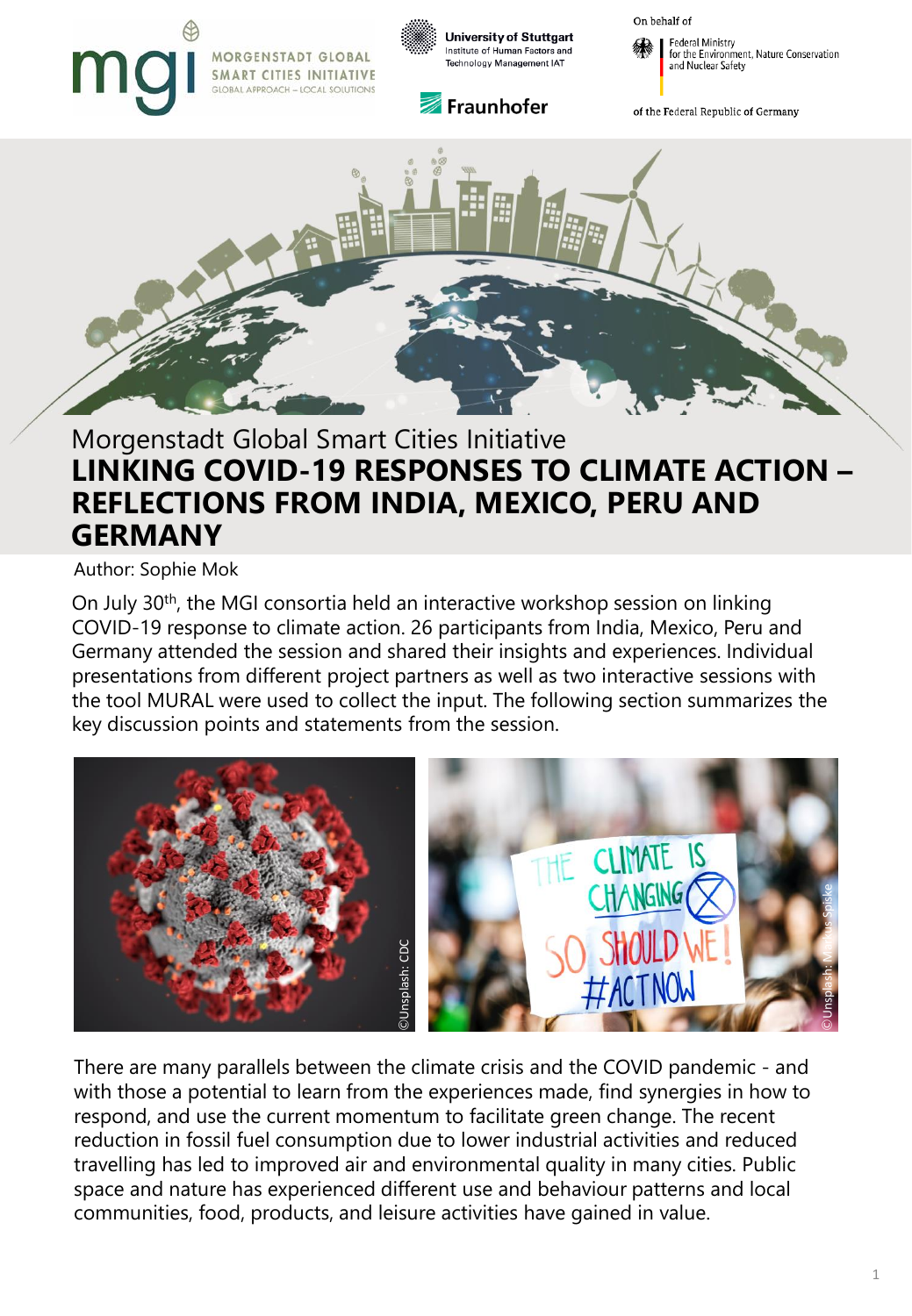# MORGENSTADT GLOBAL **SMART CITIES INITIATIVE LOCAL SOLUTIONS**



**University of Stuttgart** Institute of Human Factors and Technology Management IAT



On behalf of

Federal Ministry for the Environment, Nature Conservation and Nuclear Safety

of the Federal Republic of Germany



# 25.11.2020 | Author: Nina van den Daele **GERMANY** Morgenstadt Global Smart Cities Initiative **LINKING COVID-19 RESPONSES TO CLIMATE ACTION – REFLECTIONS FROM INDIA, MEXICO, PERU AND**

Author: Sophie Mok

On July 30th, the MGI consortia held an interactive workshop session on linking COVID-19 response to climate action. 26 participants from India, Mexico, Peru and Germany attended the session and shared their insights and experiences. Individual presentations from different project partners as well as two interactive sessions with the tool MURAL were used to collect the input. The following section summarizes the key discussion points and statements from the session.



There are many parallels between the climate crisis and the COVID pandemic - and with those a potential to learn from the experiences made, find synergies in how to respond, and use the current momentum to facilitate green change. The recent reduction in fossil fuel consumption due to lower industrial activities and reduced travelling has led to improved air and environmental quality in many cities. Public space and nature has experienced different use and behaviour patterns and local communities, food, products, and leisure activities have gained in value.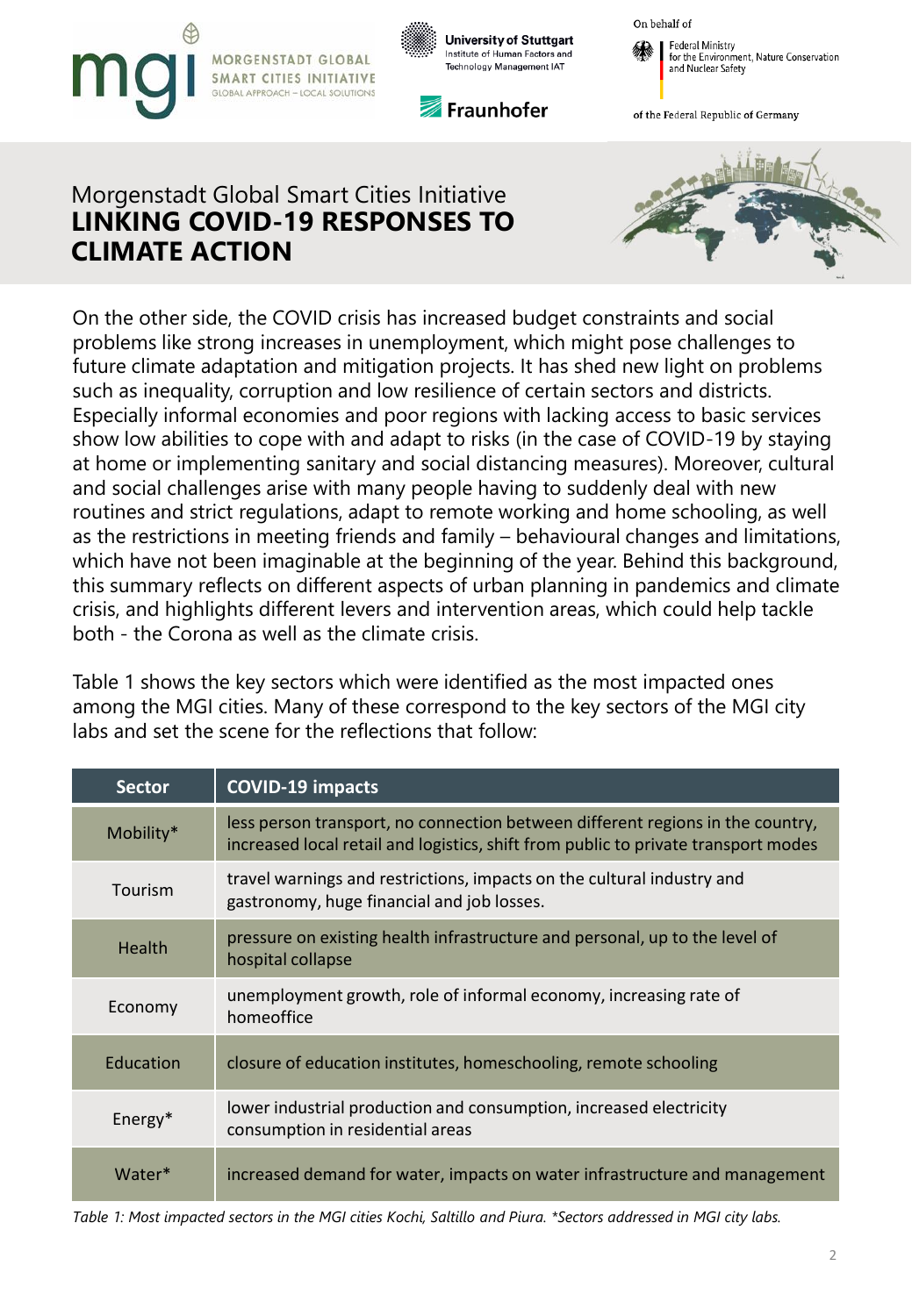



Fraunhofer





of the Federal Republic of Germany

# Morgenstadt Global Smart Cities Initiative **LINKING COVID-19 RESPONSES TO CLIMATE ACTION**



On the other side, the COVID crisis has increased budget constraints and social problems like strong increases in unemployment, which might pose challenges to future climate adaptation and mitigation projects. It has shed new light on problems such as inequality, corruption and low resilience of certain sectors and districts. Especially informal economies and poor regions with lacking access to basic services show low abilities to cope with and adapt to risks (in the case of COVID-19 by staying at home or implementing sanitary and social distancing measures). Moreover, cultural and social challenges arise with many people having to suddenly deal with new routines and strict regulations, adapt to remote working and home schooling, as well as the restrictions in meeting friends and family – behavioural changes and limitations, which have not been imaginable at the beginning of the year. Behind this background, this summary reflects on different aspects of urban planning in pandemics and climate crisis, and highlights different levers and intervention areas, which could help tackle both - the Corona as well as the climate crisis.

Table 1 shows the key sectors which were identified as the most impacted ones among the MGI cities. Many of these correspond to the key sectors of the MGI city labs and set the scene for the reflections that follow:

| <b>Sector</b> | <b>COVID-19 impacts</b>                                                                                                                                              |
|---------------|----------------------------------------------------------------------------------------------------------------------------------------------------------------------|
| Mobility*     | less person transport, no connection between different regions in the country,<br>increased local retail and logistics, shift from public to private transport modes |
| Tourism       | travel warnings and restrictions, impacts on the cultural industry and<br>gastronomy, huge financial and job losses.                                                 |
| Health        | pressure on existing health infrastructure and personal, up to the level of<br>hospital collapse                                                                     |
| Economy       | unemployment growth, role of informal economy, increasing rate of<br>homeoffice                                                                                      |
| Education     | closure of education institutes, homeschooling, remote schooling                                                                                                     |
| Energy*       | lower industrial production and consumption, increased electricity<br>consumption in residential areas                                                               |
| Water*        | increased demand for water, impacts on water infrastructure and management                                                                                           |

*Table 1: Most impacted sectors in the MGI cities Kochi, Saltillo and Piura. \*Sectors addressed in MGI city labs.*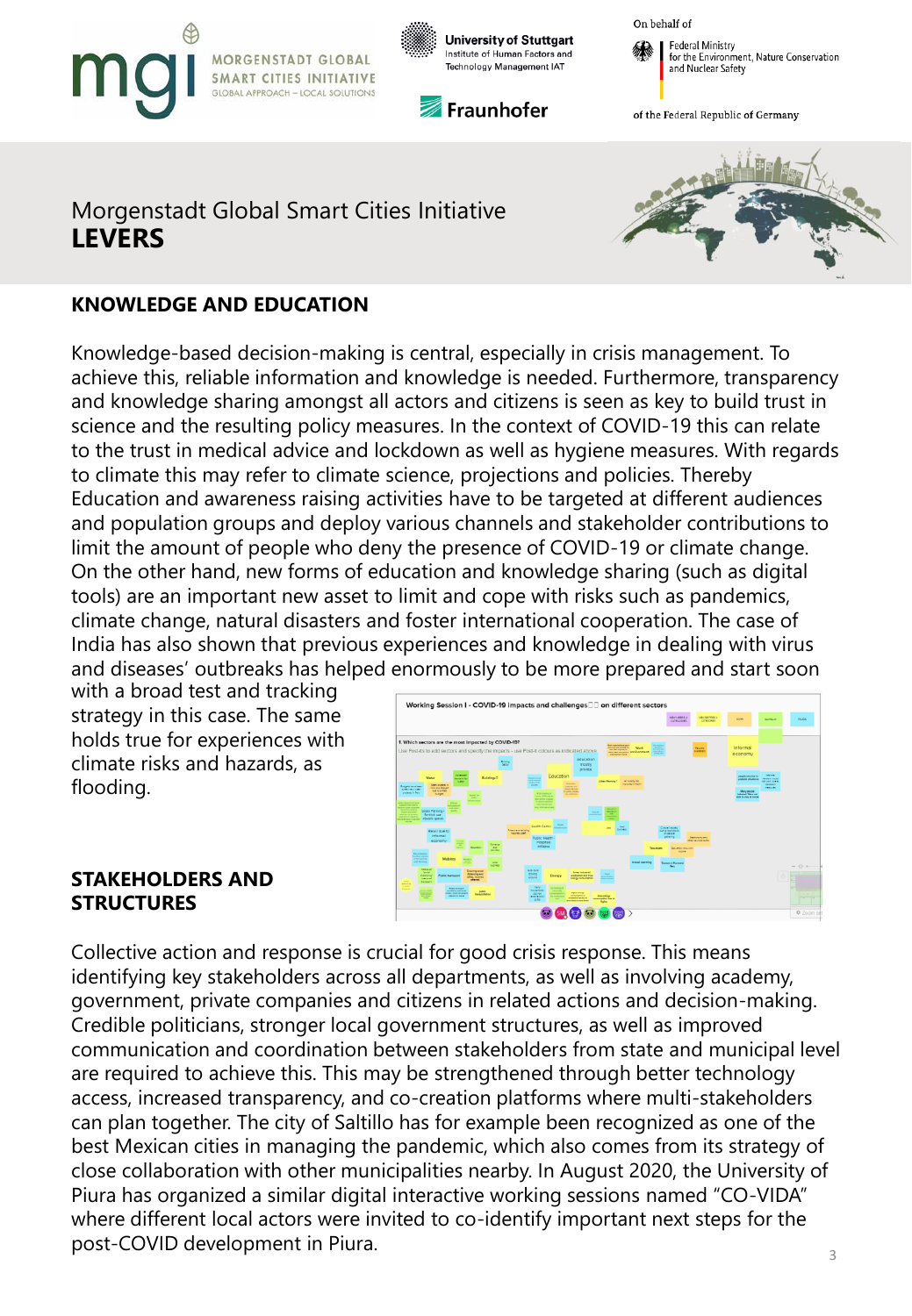







of the Federal Republic of Germany

## Morgenstadt Global Smart Cities Initiative **LEVERS**



### **KNOWLEDGE AND EDUCATION**

Knowledge-based decision-making is central, especially in crisis management. To achieve this, reliable information and knowledge is needed. Furthermore, transparency and knowledge sharing amongst all actors and citizens is seen as key to build trust in science and the resulting policy measures. In the context of COVID-19 this can relate to the trust in medical advice and lockdown as well as hygiene measures. With regards to climate this may refer to climate science, projections and policies. Thereby Education and awareness raising activities have to be targeted at different audiences and population groups and deploy various channels and stakeholder contributions to limit the amount of people who deny the presence of COVID-19 or climate change. On the other hand, new forms of education and knowledge sharing (such as digital tools) are an important new asset to limit and cope with risks such as pandemics, climate change, natural disasters and foster international cooperation. The case of India has also shown that previous experiences and knowledge in dealing with virus and diseases' outbreaks has helped enormously to be more prepared and start soon

with a broad test and tracking strategy in this case. The same holds true for experiences with climate risks and hazards, as flooding.



#### **STAKEHOLDERS AND STRUCTURES**

3 Collective action and response is crucial for good crisis response. This means identifying key stakeholders across all departments, as well as involving academy, government, private companies and citizens in related actions and decision-making. Credible politicians, stronger local government structures, as well as improved communication and coordination between stakeholders from state and municipal level are required to achieve this. This may be strengthened through better technology access, increased transparency, and co-creation platforms where multi-stakeholders can plan together. The city of Saltillo has for example been recognized as one of the best Mexican cities in managing the pandemic, which also comes from its strategy of close collaboration with other municipalities nearby. In August 2020, the University of Piura has organized a similar digital interactive working sessions named "CO-VIDA" where different local actors were invited to co-identify important next steps for the post-COVID development in Piura.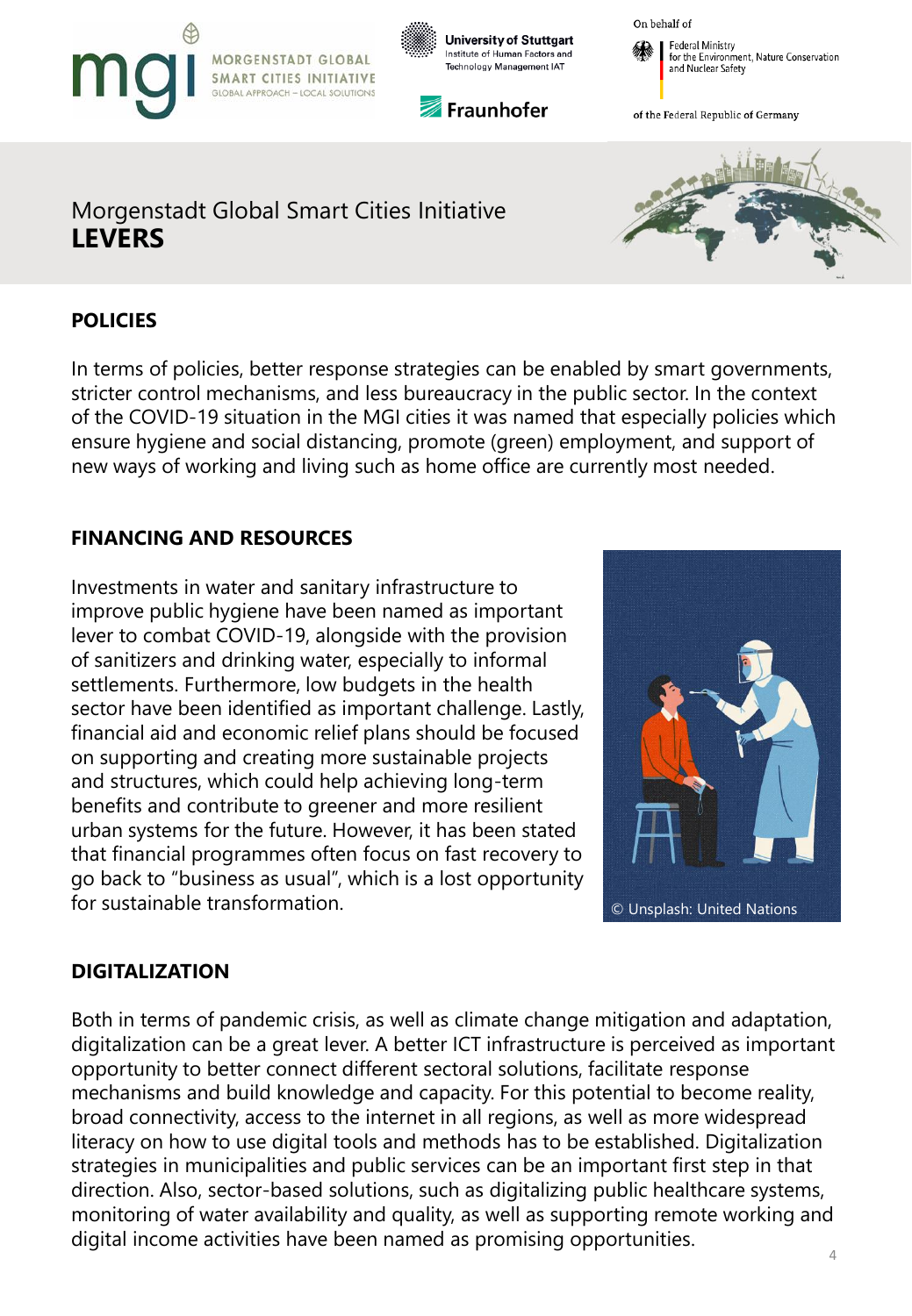





**Federal Ministry** for the Environment, Nature Conservation and Nuclear Safety

of the Federal Republic of Germany

## Morgenstadt Global Smart Cities Initiative **LEVERS**

### **POLICIES**

In terms of policies, better response strategies can be enabled by smart governments, stricter control mechanisms, and less bureaucracy in the public sector. In the context of the COVID-19 situation in the MGI cities it was named that especially policies which ensure hygiene and social distancing, promote (green) employment, and support of new ways of working and living such as home office are currently most needed.

## **FINANCING AND RESOURCES**

Investments in water and sanitary infrastructure to improve public hygiene have been named as important lever to combat COVID-19, alongside with the provision of sanitizers and drinking water, especially to informal settlements. Furthermore, low budgets in the health sector have been identified as important challenge. Lastly, financial aid and economic relief plans should be focused on supporting and creating more sustainable projects and structures, which could help achieving long-term benefits and contribute to greener and more resilient urban systems for the future. However, it has been stated that financial programmes often focus on fast recovery to go back to "business as usual", which is a lost opportunity for sustainable transformation. **Example 18 and 18 and 18 and 18 and 18 and 18 and 18 and 18 and 18 and 18 and 18 and 18 and 18 and 18 and 18 and 18 and 18 and 18 and 18 and 18 and 18 and 18 and 18 and 18 and 18 and 18 an** 



### **DIGITALIZATION**

Both in terms of pandemic crisis, as well as climate change mitigation and adaptation, digitalization can be a great lever. A better ICT infrastructure is perceived as important opportunity to better connect different sectoral solutions, facilitate response mechanisms and build knowledge and capacity. For this potential to become reality, broad connectivity, access to the internet in all regions, as well as more widespread literacy on how to use digital tools and methods has to be established. Digitalization strategies in municipalities and public services can be an important first step in that direction. Also, sector-based solutions, such as digitalizing public healthcare systems, monitoring of water availability and quality, as well as supporting remote working and digital income activities have been named as promising opportunities.

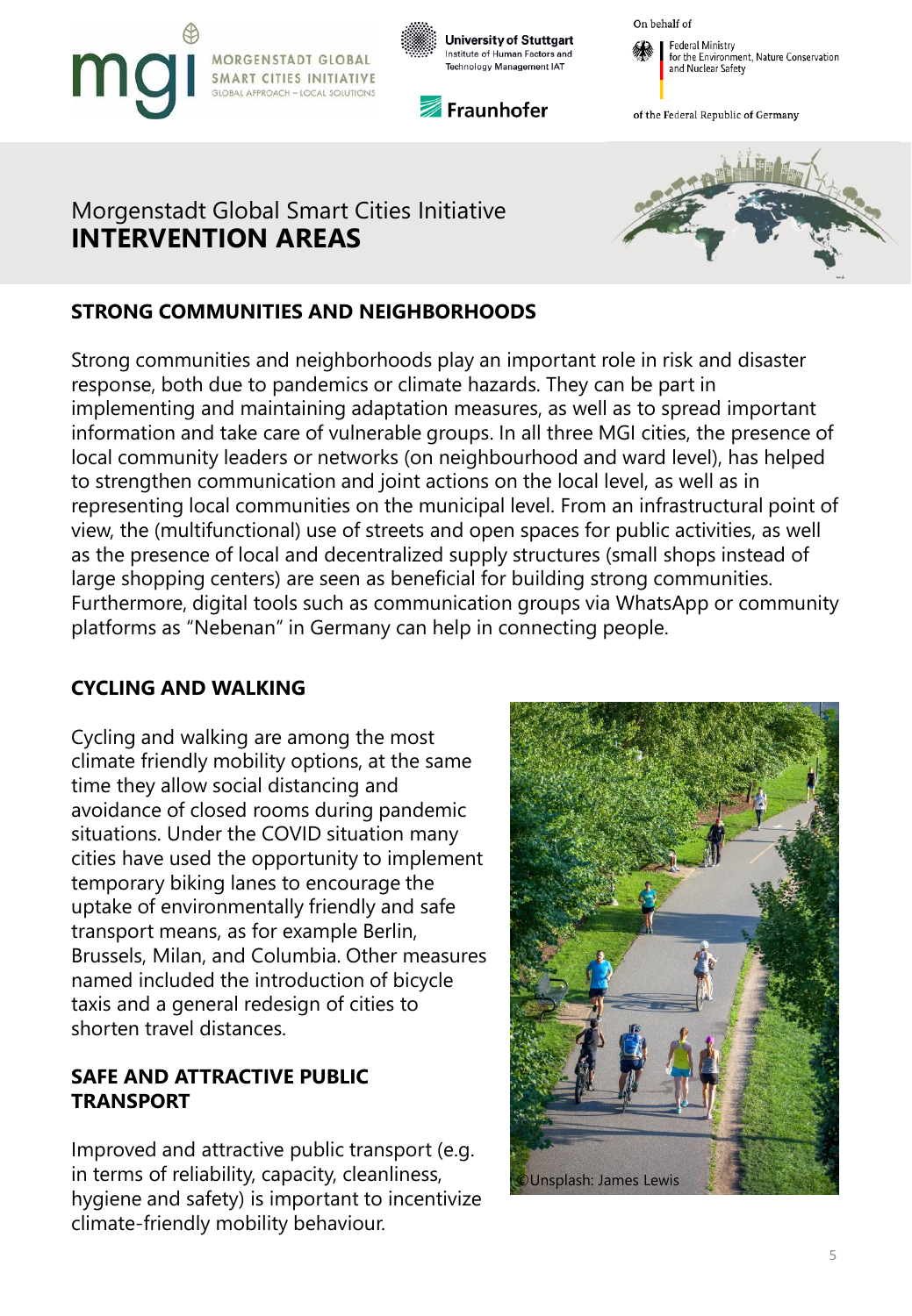







of the Federal Republic of Germany

# Morgenstadt Global Smart Cities Initiative **INTERVENTION AREAS**



## **STRONG COMMUNITIES AND NEIGHBORHOODS**

Strong communities and neighborhoods play an important role in risk and disaster response, both due to pandemics or climate hazards. They can be part in implementing and maintaining adaptation measures, as well as to spread important information and take care of vulnerable groups. In all three MGI cities, the presence of local community leaders or networks (on neighbourhood and ward level), has helped to strengthen communication and joint actions on the local level, as well as in representing local communities on the municipal level. From an infrastructural point of view, the (multifunctional) use of streets and open spaces for public activities, as well as the presence of local and decentralized supply structures (small shops instead of large shopping centers) are seen as beneficial for building strong communities. Furthermore, digital tools such as communication groups via WhatsApp or community platforms as "Nebenan" in Germany can help in connecting people.

#### **CYCLING AND WALKING**

Cycling and walking are among the most climate friendly mobility options, at the same time they allow social distancing and avoidance of closed rooms during pandemic situations. Under the COVID situation many cities have used the opportunity to implement temporary biking lanes to encourage the uptake of environmentally friendly and safe transport means, as for example Berlin, Brussels, Milan, and Columbia. Other measures named included the introduction of bicycle taxis and a general redesign of cities to shorten travel distances.

#### **SAFE AND ATTRACTIVE PUBLIC TRANSPORT**

Improved and attractive public transport (e.g. in terms of reliability, capacity, cleanliness, hygiene and safety) is important to incentivize climate-friendly mobility behaviour.

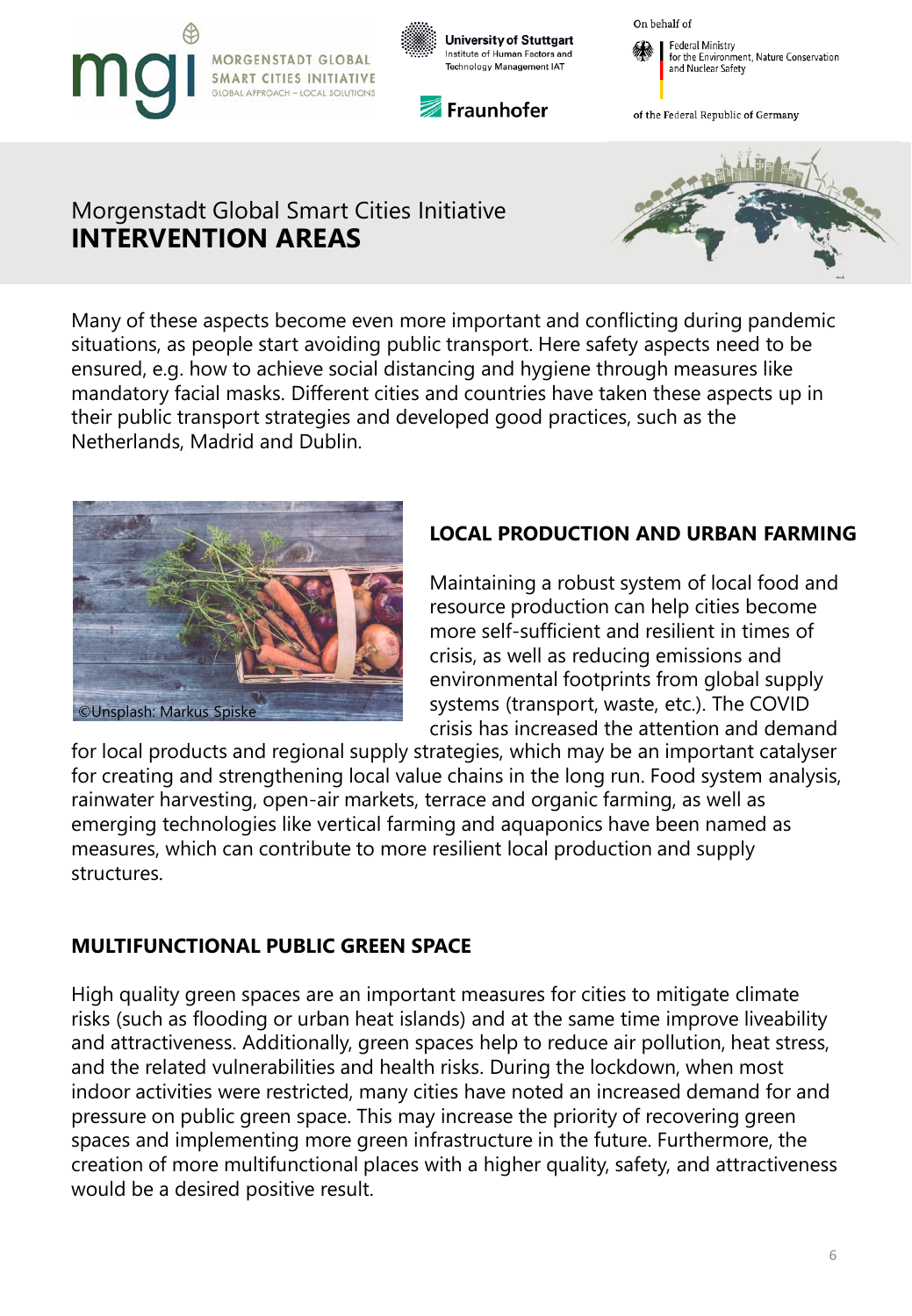







of the Federal Republic of Germany

# Morgenstadt Global Smart Cities Initiative **INTERVENTION AREAS**



Many of these aspects become even more important and conflicting during pandemic situations, as people start avoiding public transport. Here safety aspects need to be ensured, e.g. how to achieve social distancing and hygiene through measures like mandatory facial masks. Different cities and countries have taken these aspects up in their public transport strategies and developed good practices, such as the Netherlands, Madrid and Dublin.



## **LOCAL PRODUCTION AND URBAN FARMING**

Maintaining a robust system of local food and resource production can help cities become more self-sufficient and resilient in times of crisis, as well as reducing emissions and environmental footprints from global supply systems (transport, waste, etc.). The COVID crisis has increased the attention and demand

for local products and regional supply strategies, which may be an important catalyser for creating and strengthening local value chains in the long run. Food system analysis, rainwater harvesting, open-air markets, terrace and organic farming, as well as emerging technologies like vertical farming and aquaponics have been named as measures, which can contribute to more resilient local production and supply structures.

#### **MULTIFUNCTIONAL PUBLIC GREEN SPACE**

High quality green spaces are an important measures for cities to mitigate climate risks (such as flooding or urban heat islands) and at the same time improve liveability and attractiveness. Additionally, green spaces help to reduce air pollution, heat stress, and the related vulnerabilities and health risks. During the lockdown, when most indoor activities were restricted, many cities have noted an increased demand for and pressure on public green space. This may increase the priority of recovering green spaces and implementing more green infrastructure in the future. Furthermore, the creation of more multifunctional places with a higher quality, safety, and attractiveness would be a desired positive result.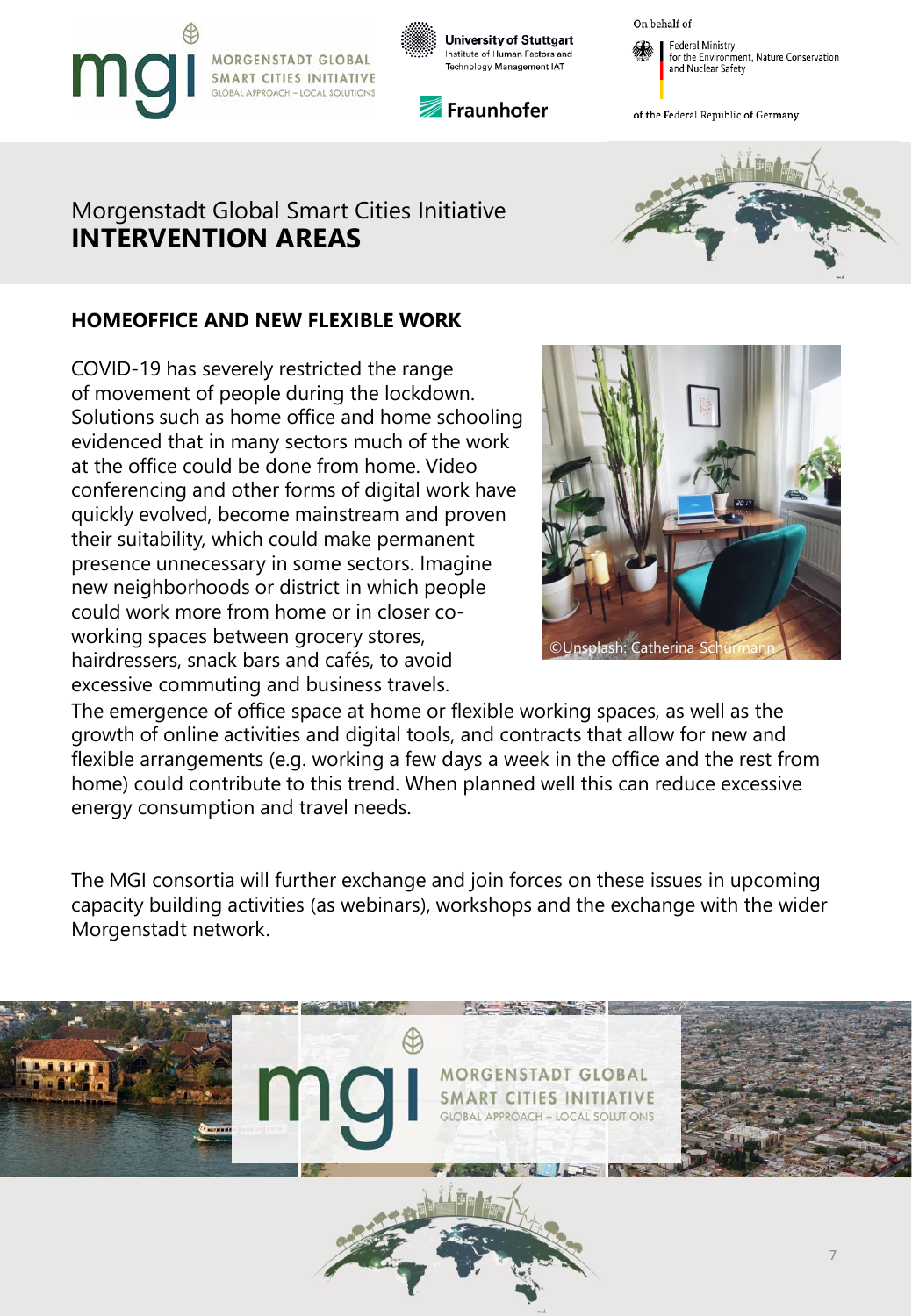



Fraunhofer





of the Federal Republic of Germany

# Morgenstadt Global Smart Cities Initiative **INTERVENTION AREAS**



#### **HOMEOFFICE AND NEW FLEXIBLE WORK**

COVID-19 has severely restricted the range of movement of people during the lockdown. Solutions such as home office and home schooling evidenced that in many sectors much of the work at the office could be done from home. Video conferencing and other forms of digital work have quickly evolved, become mainstream and proven their suitability, which could make permanent presence unnecessary in some sectors. Imagine new neighborhoods or district in which people could work more from home or in closer coworking spaces between grocery stores, hairdressers, snack bars and cafés, to avoid excessive commuting and business travels.



The emergence of office space at home or flexible working spaces, as well as the growth of online activities and digital tools, and contracts that allow for new and flexible arrangements (e.g. working a few days a week in the office and the rest from home) could contribute to this trend. When planned well this can reduce excessive energy consumption and travel needs.

The MGI consortia will further exchange and join forces on these issues in upcoming capacity building activities (as webinars), workshops and the exchange with the wider Morgenstadt network.